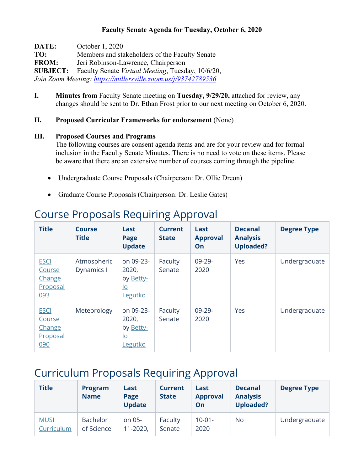### **Faculty Senate Agenda for Tuesday, October 6, 2020**

**DATE:** October 1, 2020 **TO:** Members and stakeholders of the Faculty Senate **FROM:** Jeri Robinson-Lawrence, Chairperson **SUBJECT:** Faculty Senate *Virtual Meeting*, Tuesday, 10/6/20, *Join Zoom Meeting:<https://millersville.zoom.us/j/93742789536>*

**I. Minutes from** Faculty Senate meeting on **Tuesday, 9/29/20,** attached for review, any changes should be sent to Dr. Ethan Frost prior to our next meeting on October 6, 2020.

### **II. Proposed Curricular Frameworks for endorsement** (None)

#### **III. Proposed Courses and Programs**

The following courses are consent agenda items and are for your review and for formal inclusion in the Faculty Senate Minutes. There is no need to vote on these items. Please be aware that there are an extensive number of courses coming through the pipeline.

- Undergraduate Course Proposals (Chairperson: Dr. Ollie Dreon)
- Graduate Course Proposals (Chairperson: Dr. Leslie Gates)

| <b>Title</b>                                       | <b>Course</b><br><b>Title</b> | Last<br>Page<br><b>Update</b>                                  | <b>Current</b><br><b>State</b> | Last<br><b>Approval</b><br>On | <b>Decanal</b><br><b>Analysis</b><br><b>Uploaded?</b> | <b>Degree Type</b> |
|----------------------------------------------------|-------------------------------|----------------------------------------------------------------|--------------------------------|-------------------------------|-------------------------------------------------------|--------------------|
| <b>ESCI</b><br>Course<br>Change<br>Proposal<br>093 | Atmospheric<br>Dynamics I     | on 09-23-<br>2020,<br>by Betty-<br><u>lo</u><br>Legutko        | Faculty<br>Senate              | $09 - 29 -$<br>2020           | Yes                                                   | Undergraduate      |
| <b>ESCI</b><br>Course<br>Change<br>Proposal<br>090 | Meteorology                   | on 09-23-<br>2020,<br>by Betty-<br><u>lo</u><br><u>Legutko</u> | Faculty<br>Senate              | $09 - 29 -$<br>2020           | Yes                                                   | Undergraduate      |

# Course Proposals Requiring Approval

# Curriculum Proposals Requiring Approval

| <b>Title</b>              | <b>Program</b><br><b>Name</b> | Last<br>Page<br><b>Update</b> | <b>Current</b><br><b>State</b> | Last<br><b>Approval</b><br>On | <b>Decanal</b><br><b>Analysis</b><br><b>Uploaded?</b> | <b>Degree Type</b> |
|---------------------------|-------------------------------|-------------------------------|--------------------------------|-------------------------------|-------------------------------------------------------|--------------------|
| <b>MUSI</b><br>Curriculum | <b>Bachelor</b><br>of Science | on 05-<br>11-2020,            | Faculty<br>Senate              | $10 - 01 -$<br>2020           | No                                                    | Undergraduate      |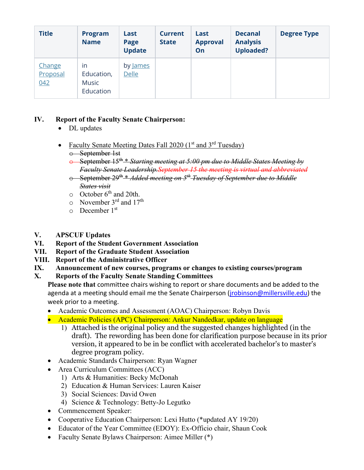| <b>Title</b>              | <b>Program</b><br><b>Name</b>          | Last<br>Page<br><b>Update</b> | <b>Current</b><br><b>State</b> | Last<br><b>Approval</b><br>On | <b>Decanal</b><br><b>Analysis</b><br><b>Uploaded?</b> | <b>Degree Type</b> |
|---------------------------|----------------------------------------|-------------------------------|--------------------------------|-------------------------------|-------------------------------------------------------|--------------------|
| Change<br>Proposal<br>042 | in<br>Education,<br>Music<br>Education | by James<br><b>Delle</b>      |                                |                               |                                                       |                    |

## **IV. Report of the Faculty Senate Chairperson:**

- DL updates
- Faculty Senate Meeting Dates Fall 2020  $(1<sup>st</sup>$  and  $3<sup>rd</sup>$  Tuesday) o September 1st
	- o September 15th \* *Starting meeting at 5:00 pm due to Middle States Meeting by Faculty Senate Leadership.September 15 the meeting is virtual and abbreviated*
	- o September 29th \* *Added meeting on 5th Tuesday of September due to Middle States visit*
	- $\circ$  October 6<sup>th</sup> and 20th.
	- $\circ$  November 3<sup>rd</sup> and 17<sup>th</sup>
	- $\circ$  December 1<sup>st</sup>
- **V. APSCUF Updates**
- **VI. Report of the Student Government Association**
- **VII. Report of the Graduate Student Association**
- **VIII. Report of the Administrative Officer**
- **IX. Announcement of new courses, programs or changes to existing courses/program**

## **X. Reports of the Faculty Senate Standing Committees**

**Please note that** committee chairs wishing to report or share documents and be added to the agenda at a meeting should email me the Senate Chairperson (*jrobinson@millersville.edu*) the week prior to a meeting.

- Academic Outcomes and Assessment (AOAC) Chairperson: Robyn Davis
- Academic Policies (APC) Chairperson: Ankur Nandedkar, update on language
	- 1) Attached is the original policy and the suggested changes highlighted (in the draft). The rewording has been done for clarification purpose because in its prior version, it appeared to be in be conflict with accelerated bachelor's to master's degree program policy.
- Academic Standards Chairperson: Ryan Wagner
- Area Curriculum Committees (ACC)
	- 1) Arts & Humanities: Becky McDonah
	- 2) Education & Human Services: Lauren Kaiser
	- 3) Social Sciences: David Owen
	- 4) Science & Technology: Betty-Jo Legutko
- Commencement Speaker:
- Cooperative Education Chairperson: Lexi Hutto (\*updated AY 19/20)
- Educator of the Year Committee (EDOY): Ex-Officio chair, Shaun Cook
- Faculty Senate Bylaws Chairperson: Aimee Miller (\*)